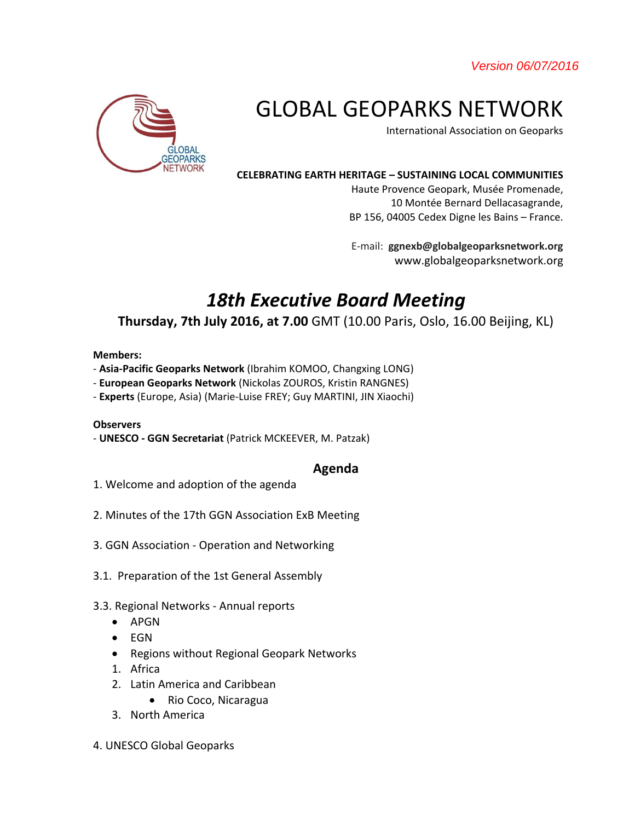*Version 06/07/2016* 



# GLOBAL GEOPARKS NETWORK

International Association on Geoparks

#### **CELEBRATING EARTH HERITAGE – SUSTAINING LOCAL COMMUNITIES**

Haute Provence Geopark, Musée Promenade, 10 Montée Bernard Dellacasagrande, BP 156, 04005 Cedex Digne les Bains – France.

E-mail: **ggnexb@globalgeoparksnetwork.org** www.globalgeoparksnetwork.org

# *18th Executive Board Meeting*

# **Thursday, 7th July 2016, at 7.00** GMT (10.00 Paris, Oslo, 16.00 Beijing, KL)

#### **Members:**

- **Asia-Pacific Geoparks Network** (Ibrahim KOMOO, Changxing LONG)
- **European Geoparks Network** (Nickolas ZOUROS, Kristin RANGNES)
- **Experts** (Europe, Asia) (Marie-Luise FREY; Guy MARTINI, JIN Xiaochi)

### **Observers**

- **UNESCO - GGN Secretariat** (Patrick MCKEEVER, M. Patzak)

## **Agenda**

- 1. Welcome and adoption of the agenda
- 2. Minutes of the 17th GGN Association ExB Meeting
- 3. GGN Association Operation and Networking
- 3.1. Preparation of the 1st General Assembly
- 3.3. Regional Networks Annual reports
	- APGN
	- EGN
	- Regions without Regional Geopark Networks
	- 1. Africa
	- 2. Latin America and Caribbean
		- Rio Coco, Nicaragua
	- 3. North America
- 4. UNESCO Global Geoparks